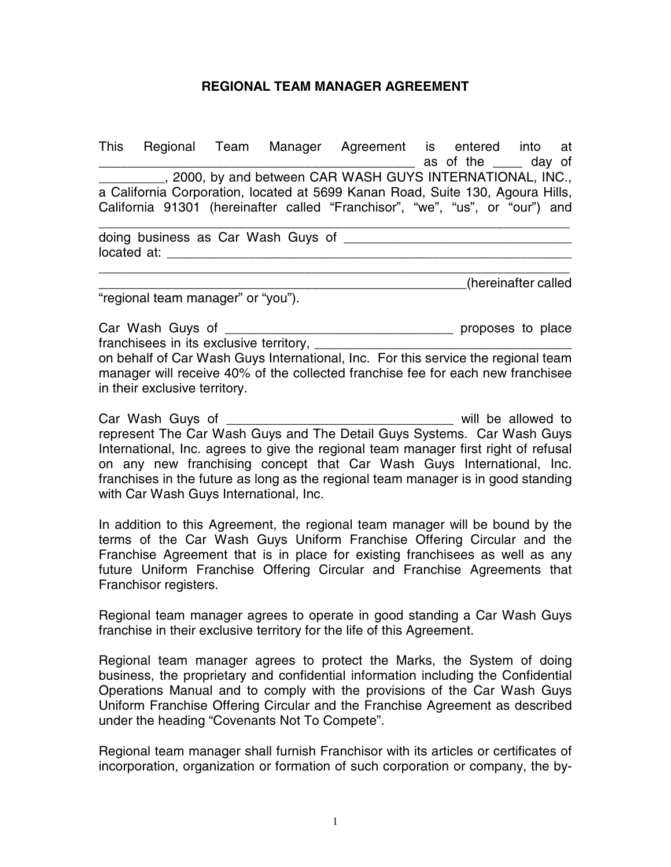## **REGIONAL TEAM MANAGER AGREEMENT**

|                                                                    |  | This Regional Team Manager Agreement is entered into at                                                                                                                                                                              | as of the ____ day of |                     |  |
|--------------------------------------------------------------------|--|--------------------------------------------------------------------------------------------------------------------------------------------------------------------------------------------------------------------------------------|-----------------------|---------------------|--|
|                                                                    |  | _________, 2000, by and between CAR WASH GUYS INTERNATIONAL, INC.,<br>a California Corporation, located at 5699 Kanan Road, Suite 130, Agoura Hills,<br>California 91301 (hereinafter called "Franchisor", "we", "us", or "our") and |                       |                     |  |
| doing business as Car Wash Guys of ______<br>located at: _________ |  |                                                                                                                                                                                                                                      |                       |                     |  |
| "regional team manager" or "you").                                 |  |                                                                                                                                                                                                                                      |                       | hereinafter called) |  |
| Car Wash Guys of ________                                          |  | franchisees in its exclusive territory, _______________                                                                                                                                                                              | proposes to place     |                     |  |

on behalf of Car Wash Guys International, Inc. For this service the regional team manager will receive 40% of the collected franchise fee for each new franchisee in their exclusive territory.

Car Wash Guys of \_\_\_\_\_\_\_\_\_\_\_\_\_\_\_\_\_\_\_\_\_\_\_\_\_\_\_\_\_\_\_ will be allowed to represent The Car Wash Guys and The Detail Guys Systems. Car Wash Guys International, Inc. agrees to give the regional team manager first right of refusal on any new franchising concept that Car Wash Guys International, Inc. franchises in the future as long as the regional team manager is in good standing with Car Wash Guys International, Inc.

In addition to this Agreement, the regional team manager will be bound by the terms of the Car Wash Guys Uniform Franchise Offering Circular and the Franchise Agreement that is in place for existing franchisees as well as any future Uniform Franchise Offering Circular and Franchise Agreements that Franchisor registers.

Regional team manager agrees to operate in good standing a Car Wash Guys franchise in their exclusive territory for the life of this Agreement.

Regional team manager agrees to protect the Marks, the System of doing business, the proprietary and confidential information including the Confidential Operations Manual and to comply with the provisions of the Car Wash Guys Uniform Franchise Offering Circular and the Franchise Agreement as described under the heading "Covenants Not To Compete".

Regional team manager shall furnish Franchisor with its articles or certificates of incorporation, organization or formation of such corporation or company, the by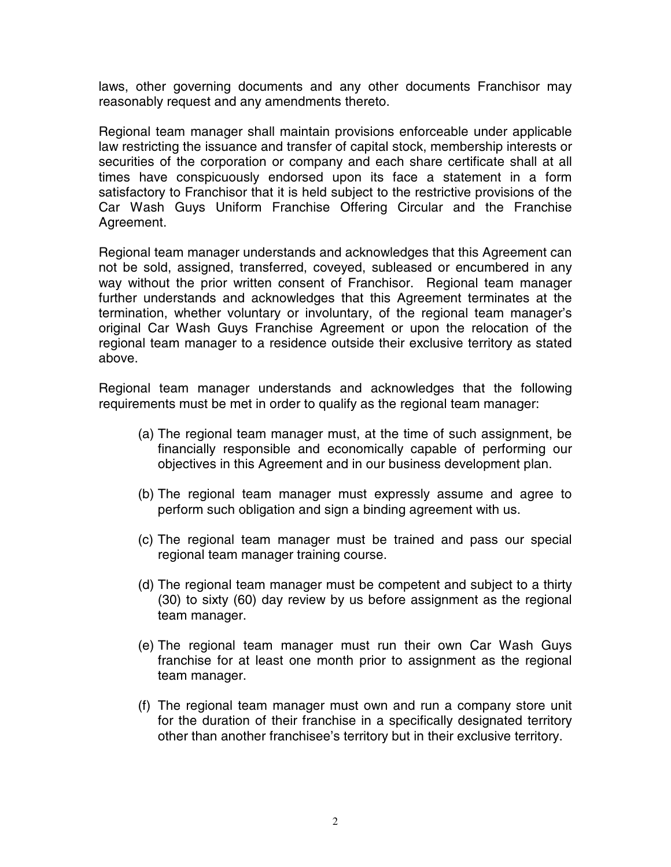laws, other governing documents and any other documents Franchisor may reasonably request and any amendments thereto.

Regional team manager shall maintain provisions enforceable under applicable law restricting the issuance and transfer of capital stock, membership interests or securities of the corporation or company and each share certificate shall at all times have conspicuously endorsed upon its face a statement in a form satisfactory to Franchisor that it is held subject to the restrictive provisions of the Car Wash Guys Uniform Franchise Offering Circular and the Franchise Agreement.

Regional team manager understands and acknowledges that this Agreement can not be sold, assigned, transferred, coveyed, subleased or encumbered in any way without the prior written consent of Franchisor. Regional team manager further understands and acknowledges that this Agreement terminates at the termination, whether voluntary or involuntary, of the regional team manager's original Car Wash Guys Franchise Agreement or upon the relocation of the regional team manager to a residence outside their exclusive territory as stated above.

Regional team manager understands and acknowledges that the following requirements must be met in order to qualify as the regional team manager:

- (a) The regional team manager must, at the time of such assignment, be financially responsible and economically capable of performing our objectives in this Agreement and in our business development plan.
- (b) The regional team manager must expressly assume and agree to perform such obligation and sign a binding agreement with us.
- (c) The regional team manager must be trained and pass our special regional team manager training course.
- (d) The regional team manager must be competent and subject to a thirty (30) to sixty (60) day review by us before assignment as the regional team manager.
- (e) The regional team manager must run their own Car Wash Guys franchise for at least one month prior to assignment as the regional team manager.
- (f) The regional team manager must own and run a company store unit for the duration of their franchise in a specifically designated territory other than another franchisee's territory but in their exclusive territory.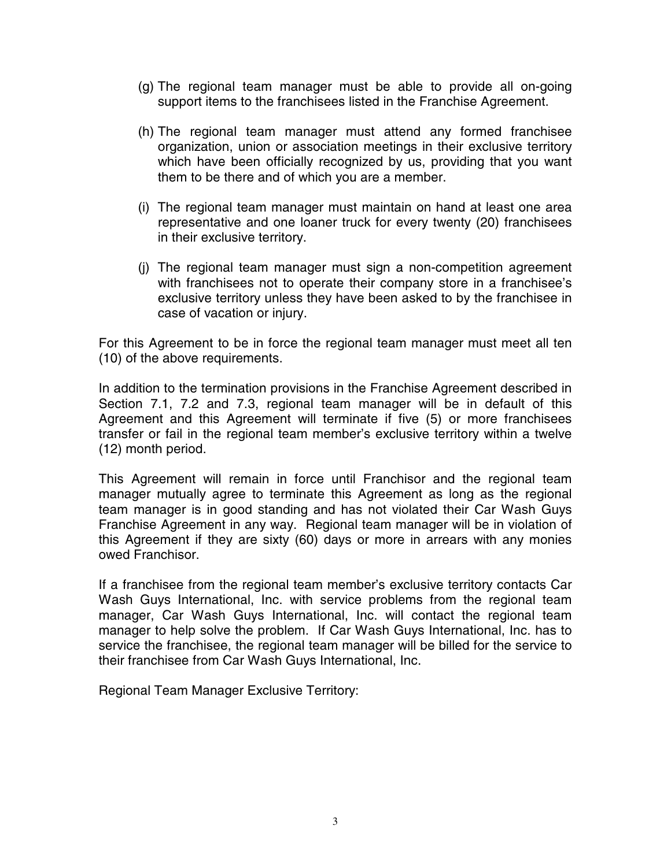- (g) The regional team manager must be able to provide all on-going support items to the franchisees listed in the Franchise Agreement.
- (h) The regional team manager must attend any formed franchisee organization, union or association meetings in their exclusive territory which have been officially recognized by us, providing that you want them to be there and of which you are a member.
- (i) The regional team manager must maintain on hand at least one area representative and one loaner truck for every twenty (20) franchisees in their exclusive territory.
- (j) The regional team manager must sign a non-competition agreement with franchisees not to operate their company store in a franchisee's exclusive territory unless they have been asked to by the franchisee in case of vacation or injury.

For this Agreement to be in force the regional team manager must meet all ten (10) of the above requirements.

In addition to the termination provisions in the Franchise Agreement described in Section 7.1, 7.2 and 7.3, regional team manager will be in default of this Agreement and this Agreement will terminate if five (5) or more franchisees transfer or fail in the regional team member's exclusive territory within a twelve (12) month period.

This Agreement will remain in force until Franchisor and the regional team manager mutually agree to terminate this Agreement as long as the regional team manager is in good standing and has not violated their Car Wash Guys Franchise Agreement in any way. Regional team manager will be in violation of this Agreement if they are sixty (60) days or more in arrears with any monies owed Franchisor.

If a franchisee from the regional team member's exclusive territory contacts Car Wash Guys International, Inc. with service problems from the regional team manager, Car Wash Guys International, Inc. will contact the regional team manager to help solve the problem. If Car Wash Guys International, Inc. has to service the franchisee, the regional team manager will be billed for the service to their franchisee from Car Wash Guys International, Inc.

Regional Team Manager Exclusive Territory: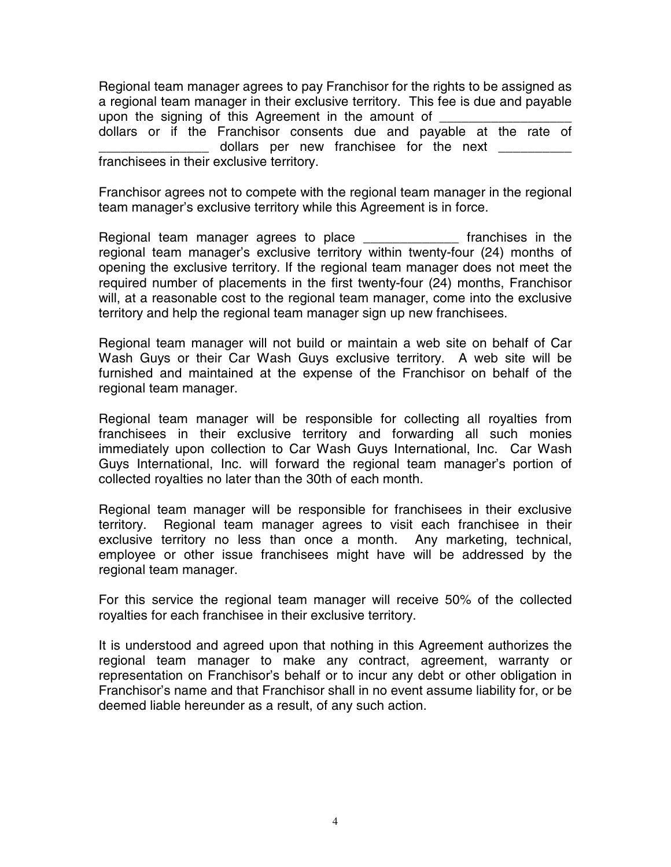Regional team manager agrees to pay Franchisor for the rights to be assigned as a regional team manager in their exclusive territory. This fee is due and payable upon the signing of this Agreement in the amount of dollars or if the Franchisor consents due and payable at the rate of dollars per new franchisee for the next franchisees in their exclusive territory.

Franchisor agrees not to compete with the regional team manager in the regional team manager's exclusive territory while this Agreement is in force.

Regional team manager agrees to place \_\_\_\_\_\_\_\_\_\_\_\_\_ franchises in the regional team manager's exclusive territory within twenty-four (24) months of opening the exclusive territory. If the regional team manager does not meet the required number of placements in the first twenty-four (24) months, Franchisor will, at a reasonable cost to the regional team manager, come into the exclusive territory and help the regional team manager sign up new franchisees.

Regional team manager will not build or maintain a web site on behalf of Car Wash Guys or their Car Wash Guys exclusive territory. A web site will be furnished and maintained at the expense of the Franchisor on behalf of the regional team manager.

Regional team manager will be responsible for collecting all royalties from franchisees in their exclusive territory and forwarding all such monies immediately upon collection to Car Wash Guys International, Inc. Car Wash Guys International, Inc. will forward the regional team manager's portion of collected royalties no later than the 30th of each month.

Regional team manager will be responsible for franchisees in their exclusive territory. Regional team manager agrees to visit each franchisee in their exclusive territory no less than once a month. Any marketing, technical, employee or other issue franchisees might have will be addressed by the regional team manager.

For this service the regional team manager will receive 50% of the collected royalties for each franchisee in their exclusive territory.

It is understood and agreed upon that nothing in this Agreement authorizes the regional team manager to make any contract, agreement, warranty or representation on Franchisor's behalf or to incur any debt or other obligation in Franchisor's name and that Franchisor shall in no event assume liability for, or be deemed liable hereunder as a result, of any such action.